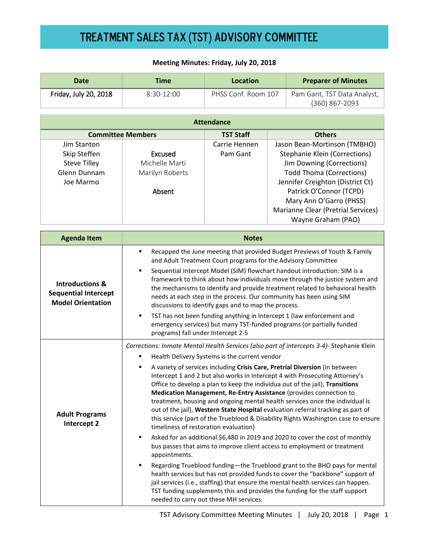### **Meeting Minutes: Friday, July 20, 2018**

| <b>Date</b>                                                                           | <b>Time</b>                                                                                                                                                                                                                                                                                                                                                                                                                                                                                                                                                                                                                                                                                                                                                                                                                                                                                                                                                                                                                                                                                                                                                                                                                                                                                 | <b>Location</b>           |  | <b>Preparer of Minutes</b>                                                                                                                                                                                                                                                                 |  |
|---------------------------------------------------------------------------------------|---------------------------------------------------------------------------------------------------------------------------------------------------------------------------------------------------------------------------------------------------------------------------------------------------------------------------------------------------------------------------------------------------------------------------------------------------------------------------------------------------------------------------------------------------------------------------------------------------------------------------------------------------------------------------------------------------------------------------------------------------------------------------------------------------------------------------------------------------------------------------------------------------------------------------------------------------------------------------------------------------------------------------------------------------------------------------------------------------------------------------------------------------------------------------------------------------------------------------------------------------------------------------------------------|---------------------------|--|--------------------------------------------------------------------------------------------------------------------------------------------------------------------------------------------------------------------------------------------------------------------------------------------|--|
| Friday, July 20, 2018                                                                 | 8:30-12:00                                                                                                                                                                                                                                                                                                                                                                                                                                                                                                                                                                                                                                                                                                                                                                                                                                                                                                                                                                                                                                                                                                                                                                                                                                                                                  | PHSS Conf. Room 107       |  | Pam Gant, TST Data Analyst,<br>(360) 867-2093                                                                                                                                                                                                                                              |  |
| <b>Attendance</b>                                                                     |                                                                                                                                                                                                                                                                                                                                                                                                                                                                                                                                                                                                                                                                                                                                                                                                                                                                                                                                                                                                                                                                                                                                                                                                                                                                                             |                           |  |                                                                                                                                                                                                                                                                                            |  |
|                                                                                       | <b>Committee Members</b>                                                                                                                                                                                                                                                                                                                                                                                                                                                                                                                                                                                                                                                                                                                                                                                                                                                                                                                                                                                                                                                                                                                                                                                                                                                                    | <b>TST Staff</b>          |  | <b>Others</b>                                                                                                                                                                                                                                                                              |  |
| Jim Stanton<br>Skip Steffen<br><b>Steve Tilley</b><br>Glenn Dunnam<br>Joe Marmo       | <b>Excused</b><br>Michelle Marti<br>Marilyn Roberts<br>Absent                                                                                                                                                                                                                                                                                                                                                                                                                                                                                                                                                                                                                                                                                                                                                                                                                                                                                                                                                                                                                                                                                                                                                                                                                               | Carrie Hennen<br>Pam Gant |  | Jason Bean-Mortinson (TMBHO)<br><b>Stephanie Klein (Corrections)</b><br>Jim Downing (Corrections)<br><b>Todd Thoma (Corrections)</b><br>Jennifer Creighton (District Ct)<br>Patrick O'Connor (TCPD)<br>Mary Ann O'Garro (PHSS)<br>Marianne Clear (Pretrial Services)<br>Wayne Graham (PAO) |  |
| <b>Agenda Item</b>                                                                    | <b>Notes</b>                                                                                                                                                                                                                                                                                                                                                                                                                                                                                                                                                                                                                                                                                                                                                                                                                                                                                                                                                                                                                                                                                                                                                                                                                                                                                |                           |  |                                                                                                                                                                                                                                                                                            |  |
| <b>Introductions &amp;</b><br><b>Sequential Intercept</b><br><b>Model Orientation</b> | Recapped the June meeting that provided Budget Previews of Youth & Family<br>٠<br>and Adult Treatment Court programs for the Advisory Committee<br>Sequential Intercept Model (SIM) flowchart handout introduction: SIM is a<br>٠<br>framework to think about how individuals move through the justice system and<br>the mechanisms to identify and provide treatment related to behavioral health<br>needs at each step in the process. Our community has been using SIM<br>discussions to identify gaps and to map the process.<br>TST has not been funding anything in Intercept 1 (law enforcement and<br>٠<br>emergency services) but many TST-funded programs (or partially funded<br>programs) fall under Intercept 2-5                                                                                                                                                                                                                                                                                                                                                                                                                                                                                                                                                              |                           |  |                                                                                                                                                                                                                                                                                            |  |
| <b>Adult Programs</b><br>Intercept 2                                                  | Corrections: Inmate Mental Health Services (also part of intercepts 3-4)- Stephanie Klein<br>Health Delivery Systems is the current vendor<br>A variety of services including Crisis Care, Pretrial Diversion (in between<br>٠<br>Intercept 1 and 2 but also works in Intercept 4 with Prosecuting Attorney's<br>Office to develop a plan to keep the individua out of the jail), Transitions<br>Medication Management, Re-Entry Assistance (provides connection to<br>treatment, housing and ongoing mental health services once the individual is<br>out of the jail), Western State Hospital evaluation referral tracking as part of<br>this service (part of the Trueblood & Disability Rights Washington case to ensure<br>timeliness of restoration evaluation)<br>Asked for an additional \$6,480 in 2019 and 2020 to cover the cost of monthly<br>٠<br>bus passes that aims to improve client access to employment or treatment<br>appointments.<br>Regarding Trueblood funding-the Trueblood grant to the BHO pays for mental<br>health services but has not provided funds to cover the "backbone" support of<br>jail services (i.e., staffing) that ensure the mental health services can happen.<br>TST funding supplements this and provides the funding for the staff support |                           |  |                                                                                                                                                                                                                                                                                            |  |

needed to carry out these MH services.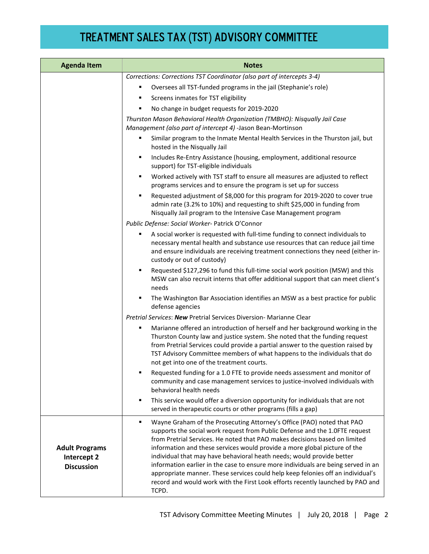| <b>Agenda Item</b>                                        | <b>Notes</b>                                                                                                                                                                                                                                                                                                                                                                                                                                                                                                                                                                                                                                                      |  |
|-----------------------------------------------------------|-------------------------------------------------------------------------------------------------------------------------------------------------------------------------------------------------------------------------------------------------------------------------------------------------------------------------------------------------------------------------------------------------------------------------------------------------------------------------------------------------------------------------------------------------------------------------------------------------------------------------------------------------------------------|--|
|                                                           | Corrections: Corrections TST Coordinator (also part of intercepts 3-4)                                                                                                                                                                                                                                                                                                                                                                                                                                                                                                                                                                                            |  |
|                                                           | Oversees all TST-funded programs in the jail (Stephanie's role)                                                                                                                                                                                                                                                                                                                                                                                                                                                                                                                                                                                                   |  |
|                                                           | Screens inmates for TST eligibility                                                                                                                                                                                                                                                                                                                                                                                                                                                                                                                                                                                                                               |  |
|                                                           | No change in budget requests for 2019-2020                                                                                                                                                                                                                                                                                                                                                                                                                                                                                                                                                                                                                        |  |
|                                                           | Thurston Mason Behavioral Health Organization (TMBHO): Nisqually Jail Case<br>Management (also part of intercept 4) -Jason Bean-Mortinson                                                                                                                                                                                                                                                                                                                                                                                                                                                                                                                         |  |
|                                                           | Similar program to the Inmate Mental Health Services in the Thurston jail, but<br>٠<br>hosted in the Nisqually Jail                                                                                                                                                                                                                                                                                                                                                                                                                                                                                                                                               |  |
|                                                           | Includes Re-Entry Assistance (housing, employment, additional resource<br>п<br>support) for TST-eligible individuals                                                                                                                                                                                                                                                                                                                                                                                                                                                                                                                                              |  |
|                                                           | Worked actively with TST staff to ensure all measures are adjusted to reflect<br>٠<br>programs services and to ensure the program is set up for success                                                                                                                                                                                                                                                                                                                                                                                                                                                                                                           |  |
|                                                           | Requested adjustment of \$8,000 for this program for 2019-2020 to cover true<br>٠<br>admin rate (3.2% to 10%) and requesting to shift \$25,000 in funding from<br>Nisqually Jail program to the Intensive Case Management program                                                                                                                                                                                                                                                                                                                                                                                                                                 |  |
|                                                           | Public Defense: Social Worker- Patrick O'Connor                                                                                                                                                                                                                                                                                                                                                                                                                                                                                                                                                                                                                   |  |
|                                                           | A social worker is requested with full-time funding to connect individuals to<br>п<br>necessary mental health and substance use resources that can reduce jail time<br>and ensure individuals are receiving treatment connections they need (either in-<br>custody or out of custody)                                                                                                                                                                                                                                                                                                                                                                             |  |
|                                                           | Requested \$127,296 to fund this full-time social work position (MSW) and this<br>п<br>MSW can also recruit interns that offer additional support that can meet client's<br>needs                                                                                                                                                                                                                                                                                                                                                                                                                                                                                 |  |
|                                                           | The Washington Bar Association identifies an MSW as a best practice for public<br>٠<br>defense agencies                                                                                                                                                                                                                                                                                                                                                                                                                                                                                                                                                           |  |
|                                                           | Pretrial Services: New Pretrial Services Diversion- Marianne Clear                                                                                                                                                                                                                                                                                                                                                                                                                                                                                                                                                                                                |  |
|                                                           | Marianne offered an introduction of herself and her background working in the<br>٠<br>Thurston County law and justice system. She noted that the funding request<br>from Pretrial Services could provide a partial answer to the question raised by<br>TST Advisory Committee members of what happens to the individuals that do<br>not get into one of the treatment courts.                                                                                                                                                                                                                                                                                     |  |
|                                                           | Requested funding for a 1.0 FTE to provide needs assessment and monitor of<br>community and case management services to justice-involved individuals with<br>behavioral health needs                                                                                                                                                                                                                                                                                                                                                                                                                                                                              |  |
|                                                           | This service would offer a diversion opportunity for individuals that are not<br>п<br>served in therapeutic courts or other programs (fills a gap)                                                                                                                                                                                                                                                                                                                                                                                                                                                                                                                |  |
| <b>Adult Programs</b><br>Intercept 2<br><b>Discussion</b> | Wayne Graham of the Prosecuting Attorney's Office (PAO) noted that PAO<br>٠<br>supports the social work request from Public Defense and the 1.0FTE request<br>from Pretrial Services. He noted that PAO makes decisions based on limited<br>information and these services would provide a more global picture of the<br>individual that may have behavioral heath needs; would provide better<br>information earlier in the case to ensure more individuals are being served in an<br>appropriate manner. These services could help keep felonies off an individual's<br>record and would work with the First Look efforts recently launched by PAO and<br>TCPD. |  |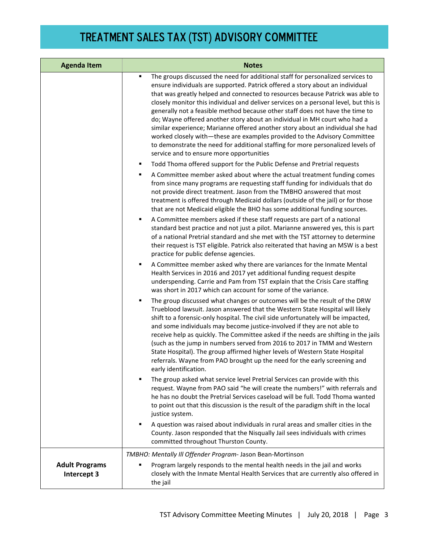| <b>Agenda Item</b>                   | <b>Notes</b>                                                                                                                                                                                                                                                                                                                                                                                                                                                                                                                                                                                                                                                                                                                                                                                                 |  |  |
|--------------------------------------|--------------------------------------------------------------------------------------------------------------------------------------------------------------------------------------------------------------------------------------------------------------------------------------------------------------------------------------------------------------------------------------------------------------------------------------------------------------------------------------------------------------------------------------------------------------------------------------------------------------------------------------------------------------------------------------------------------------------------------------------------------------------------------------------------------------|--|--|
|                                      | The groups discussed the need for additional staff for personalized services to<br>٠<br>ensure individuals are supported. Patrick offered a story about an individual<br>that was greatly helped and connected to resources because Patrick was able to<br>closely monitor this individual and deliver services on a personal level, but this is<br>generally not a feasible method because other staff does not have the time to<br>do; Wayne offered another story about an individual in MH court who had a<br>similar experience; Marianne offered another story about an individual she had<br>worked closely with-these are examples provided to the Advisory Committee<br>to demonstrate the need for additional staffing for more personalized levels of<br>service and to ensure more opportunities |  |  |
|                                      | Todd Thoma offered support for the Public Defense and Pretrial requests<br>٠                                                                                                                                                                                                                                                                                                                                                                                                                                                                                                                                                                                                                                                                                                                                 |  |  |
|                                      | A Committee member asked about where the actual treatment funding comes<br>٠<br>from since many programs are requesting staff funding for individuals that do<br>not provide direct treatment. Jason from the TMBHO answered that most<br>treatment is offered through Medicaid dollars (outside of the jail) or for those<br>that are not Medicaid eligible the BHO has some additional funding sources.                                                                                                                                                                                                                                                                                                                                                                                                    |  |  |
|                                      | A Committee members asked if these staff requests are part of a national<br>٠<br>standard best practice and not just a pilot. Marianne answered yes, this is part<br>of a national Pretrial standard and she met with the TST attorney to determine<br>their request is TST eligible. Patrick also reiterated that having an MSW is a best<br>practice for public defense agencies.                                                                                                                                                                                                                                                                                                                                                                                                                          |  |  |
|                                      | A Committee member asked why there are variances for the Inmate Mental<br>Health Services in 2016 and 2017 yet additional funding request despite<br>underspending. Carrie and Pam from TST explain that the Crisis Care staffing<br>was short in 2017 which can account for some of the variance.                                                                                                                                                                                                                                                                                                                                                                                                                                                                                                           |  |  |
|                                      | The group discussed what changes or outcomes will be the result of the DRW<br>٠<br>Trueblood lawsuit. Jason answered that the Western State Hospital will likely<br>shift to a forensic-only hospital. The civil side unfortunately will be impacted,<br>and some individuals may become justice-involved if they are not able to<br>receive help as quickly. The Committee asked if the needs are shifting in the jails<br>(such as the jump in numbers served from 2016 to 2017 in TMM and Western<br>State Hospital). The group affirmed higher levels of Western State Hospital<br>referrals. Wayne from PAO brought up the need for the early screening and<br>early identification.                                                                                                                    |  |  |
|                                      | The group asked what service level Pretrial Services can provide with this<br>request. Wayne from PAO said "he will create the numbers!" with referrals and<br>he has no doubt the Pretrial Services caseload will be full. Todd Thoma wanted<br>to point out that this discussion is the result of the paradigm shift in the local<br>justice system.                                                                                                                                                                                                                                                                                                                                                                                                                                                       |  |  |
|                                      | A question was raised about individuals in rural areas and smaller cities in the<br>County. Jason responded that the Nisqually Jail sees individuals with crimes<br>committed throughout Thurston County.                                                                                                                                                                                                                                                                                                                                                                                                                                                                                                                                                                                                    |  |  |
|                                      | TMBHO: Mentally III Offender Program- Jason Bean-Mortinson                                                                                                                                                                                                                                                                                                                                                                                                                                                                                                                                                                                                                                                                                                                                                   |  |  |
| <b>Adult Programs</b><br>Intercept 3 | Program largely responds to the mental health needs in the jail and works<br>closely with the Inmate Mental Health Services that are currently also offered in<br>the jail                                                                                                                                                                                                                                                                                                                                                                                                                                                                                                                                                                                                                                   |  |  |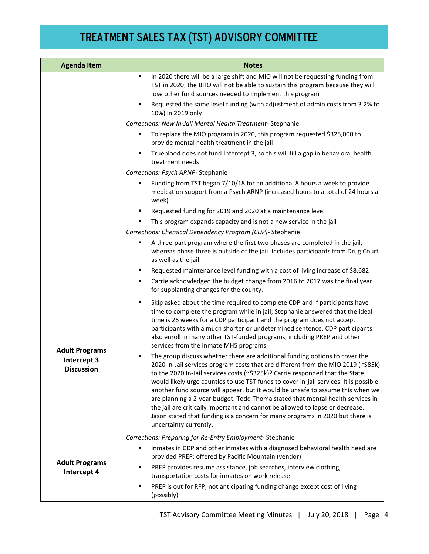| <b>Agenda Item</b>                                        | <b>Notes</b>                                                                                                                                                                                                                                                                                                                                                                                                                                                                                                                                                                                                                                                                                                      |  |
|-----------------------------------------------------------|-------------------------------------------------------------------------------------------------------------------------------------------------------------------------------------------------------------------------------------------------------------------------------------------------------------------------------------------------------------------------------------------------------------------------------------------------------------------------------------------------------------------------------------------------------------------------------------------------------------------------------------------------------------------------------------------------------------------|--|
|                                                           | In 2020 there will be a large shift and MIO will not be requesting funding from<br>٠<br>TST in 2020; the BHO will not be able to sustain this program because they will<br>lose other fund sources needed to implement this program                                                                                                                                                                                                                                                                                                                                                                                                                                                                               |  |
|                                                           | Requested the same level funding (with adjustment of admin costs from 3.2% to<br>٠<br>10%) in 2019 only                                                                                                                                                                                                                                                                                                                                                                                                                                                                                                                                                                                                           |  |
|                                                           | Corrections: New In-Jail Mental Health Treatment-Stephanie                                                                                                                                                                                                                                                                                                                                                                                                                                                                                                                                                                                                                                                        |  |
|                                                           | To replace the MIO program in 2020, this program requested \$325,000 to<br>п<br>provide mental health treatment in the jail                                                                                                                                                                                                                                                                                                                                                                                                                                                                                                                                                                                       |  |
|                                                           | Trueblood does not fund Intercept 3, so this will fill a gap in behavioral health<br>treatment needs                                                                                                                                                                                                                                                                                                                                                                                                                                                                                                                                                                                                              |  |
|                                                           | Corrections: Psych ARNP-Stephanie                                                                                                                                                                                                                                                                                                                                                                                                                                                                                                                                                                                                                                                                                 |  |
|                                                           | Funding from TST began 7/10/18 for an additional 8 hours a week to provide<br>п<br>medication support from a Psych ARNP (increased hours to a total of 24 hours a<br>week)                                                                                                                                                                                                                                                                                                                                                                                                                                                                                                                                        |  |
|                                                           | Requested funding for 2019 and 2020 at a maintenance level<br>٠                                                                                                                                                                                                                                                                                                                                                                                                                                                                                                                                                                                                                                                   |  |
|                                                           | This program expands capacity and is not a new service in the jail                                                                                                                                                                                                                                                                                                                                                                                                                                                                                                                                                                                                                                                |  |
|                                                           | Corrections: Chemical Dependency Program (CDP)- Stephanie                                                                                                                                                                                                                                                                                                                                                                                                                                                                                                                                                                                                                                                         |  |
|                                                           | A three-part program where the first two phases are completed in the jail,<br>whereas phase three is outside of the jail. Includes participants from Drug Court<br>as well as the jail.                                                                                                                                                                                                                                                                                                                                                                                                                                                                                                                           |  |
|                                                           | Requested maintenance level funding with a cost of living increase of \$8,682<br>٠                                                                                                                                                                                                                                                                                                                                                                                                                                                                                                                                                                                                                                |  |
|                                                           | Carrie acknowledged the budget change from 2016 to 2017 was the final year<br>п<br>for supplanting changes for the county.                                                                                                                                                                                                                                                                                                                                                                                                                                                                                                                                                                                        |  |
| <b>Adult Programs</b><br>Intercept 3<br><b>Discussion</b> | ٠<br>Skip asked about the time required to complete CDP and if participants have<br>time to complete the program while in jail; Stephanie answered that the ideal<br>time is 26 weeks for a CDP participant and the program does not accept<br>participants with a much shorter or undetermined sentence. CDP participants<br>also enroll in many other TST-funded programs, including PREP and other<br>services from the Inmate MHS programs.                                                                                                                                                                                                                                                                   |  |
|                                                           | The group discuss whether there are additional funding options to cover the<br>2020 In-Jail services program costs that are different from the MIO 2019 (~\$85k)<br>to the 2020 In-Jail services costs ( $\sim$ \$325k)? Carrie responded that the State<br>would likely urge counties to use TST funds to cover in-jail services. It is possible<br>another fund source will appear, but it would be unsafe to assume this when we<br>are planning a 2-year budget. Todd Thoma stated that mental health services in<br>the jail are critically important and cannot be allowed to lapse or decrease.<br>Jason stated that funding is a concern for many programs in 2020 but there is<br>uncertainty currently. |  |
|                                                           | Corrections: Preparing for Re-Entry Employment-Stephanie                                                                                                                                                                                                                                                                                                                                                                                                                                                                                                                                                                                                                                                          |  |
| <b>Adult Programs</b><br>Intercept 4                      | Inmates in CDP and other inmates with a diagnosed behavioral health need are<br>п<br>provided PREP; offered by Pacific Mountain (vendor)                                                                                                                                                                                                                                                                                                                                                                                                                                                                                                                                                                          |  |
|                                                           | PREP provides resume assistance, job searches, interview clothing,<br>٠<br>transportation costs for inmates on work release                                                                                                                                                                                                                                                                                                                                                                                                                                                                                                                                                                                       |  |
|                                                           | PREP is out for RFP; not anticipating funding change except cost of living<br>(possibly)                                                                                                                                                                                                                                                                                                                                                                                                                                                                                                                                                                                                                          |  |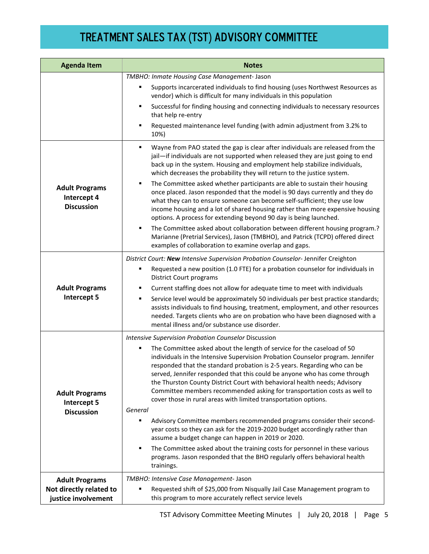| <b>Agenda Item</b>                                        | <b>Notes</b>                                                                                                                                                                                                                                                                                                                                                                                                                                                                                                                                                                                                                                                                                                                                    |  |  |
|-----------------------------------------------------------|-------------------------------------------------------------------------------------------------------------------------------------------------------------------------------------------------------------------------------------------------------------------------------------------------------------------------------------------------------------------------------------------------------------------------------------------------------------------------------------------------------------------------------------------------------------------------------------------------------------------------------------------------------------------------------------------------------------------------------------------------|--|--|
|                                                           | TMBHO: Inmate Housing Case Management- Jason                                                                                                                                                                                                                                                                                                                                                                                                                                                                                                                                                                                                                                                                                                    |  |  |
|                                                           | Supports incarcerated individuals to find housing (uses Northwest Resources as<br>vendor) which is difficult for many individuals in this population                                                                                                                                                                                                                                                                                                                                                                                                                                                                                                                                                                                            |  |  |
|                                                           | Successful for finding housing and connecting individuals to necessary resources<br>٠<br>that help re-entry                                                                                                                                                                                                                                                                                                                                                                                                                                                                                                                                                                                                                                     |  |  |
|                                                           | Requested maintenance level funding (with admin adjustment from 3.2% to<br>10%)                                                                                                                                                                                                                                                                                                                                                                                                                                                                                                                                                                                                                                                                 |  |  |
| <b>Adult Programs</b><br>Intercept 4<br><b>Discussion</b> | Wayne from PAO stated the gap is clear after individuals are released from the<br>$\blacksquare$<br>jail-if individuals are not supported when released they are just going to end<br>back up in the system. Housing and employment help stabilize individuals,<br>which decreases the probability they will return to the justice system.<br>The Committee asked whether participants are able to sustain their housing<br>٠<br>once placed. Jason responded that the model is 90 days currently and they do<br>what they can to ensure someone can become self-sufficient; they use low<br>income housing and a lot of shared housing rather than more expensive housing<br>options. A process for extending beyond 90 day is being launched. |  |  |
|                                                           | The Committee asked about collaboration between different housing program.?<br>٠<br>Marianne (Pretrial Services), Jason (TMBHO), and Patrick (TCPD) offered direct<br>examples of collaboration to examine overlap and gaps.                                                                                                                                                                                                                                                                                                                                                                                                                                                                                                                    |  |  |
|                                                           | District Court: New Intensive Supervision Probation Counselor-Jennifer Creighton                                                                                                                                                                                                                                                                                                                                                                                                                                                                                                                                                                                                                                                                |  |  |
| <b>Adult Programs</b><br>Intercept 5                      | Requested a new position (1.0 FTE) for a probation counselor for individuals in<br><b>District Court programs</b><br>Current staffing does not allow for adequate time to meet with individuals                                                                                                                                                                                                                                                                                                                                                                                                                                                                                                                                                 |  |  |
|                                                           | Service level would be approximately 50 individuals per best practice standards;<br>assists individuals to find housing, treatment, employment, and other resources<br>needed. Targets clients who are on probation who have been diagnosed with a<br>mental illness and/or substance use disorder.                                                                                                                                                                                                                                                                                                                                                                                                                                             |  |  |
|                                                           | Intensive Supervision Probation Counselor Discussion                                                                                                                                                                                                                                                                                                                                                                                                                                                                                                                                                                                                                                                                                            |  |  |
| <b>Adult Programs</b><br>Intercept 5                      | The Committee asked about the length of service for the caseload of 50<br>individuals in the Intensive Supervision Probation Counselor program. Jennifer<br>responded that the standard probation is 2-5 years. Regarding who can be<br>served, Jennifer responded that this could be anyone who has come through<br>the Thurston County District Court with behavioral health needs; Advisory<br>Committee members recommended asking for transportation costs as well to<br>cover those in rural areas with limited transportation options.                                                                                                                                                                                                   |  |  |
| <b>Discussion</b>                                         | General                                                                                                                                                                                                                                                                                                                                                                                                                                                                                                                                                                                                                                                                                                                                         |  |  |
|                                                           | Advisory Committee members recommended programs consider their second-<br>year costs so they can ask for the 2019-2020 budget accordingly rather than<br>assume a budget change can happen in 2019 or 2020.                                                                                                                                                                                                                                                                                                                                                                                                                                                                                                                                     |  |  |
|                                                           | The Committee asked about the training costs for personnel in these various<br>٠<br>programs. Jason responded that the BHO regularly offers behavioral health<br>trainings.                                                                                                                                                                                                                                                                                                                                                                                                                                                                                                                                                                     |  |  |
| <b>Adult Programs</b>                                     | TMBHO: Intensive Case Management- Jason                                                                                                                                                                                                                                                                                                                                                                                                                                                                                                                                                                                                                                                                                                         |  |  |
| Not directly related to<br>justice involvement            | Requested shift of \$25,000 from Nisqually Jail Case Management program to<br>this program to more accurately reflect service levels                                                                                                                                                                                                                                                                                                                                                                                                                                                                                                                                                                                                            |  |  |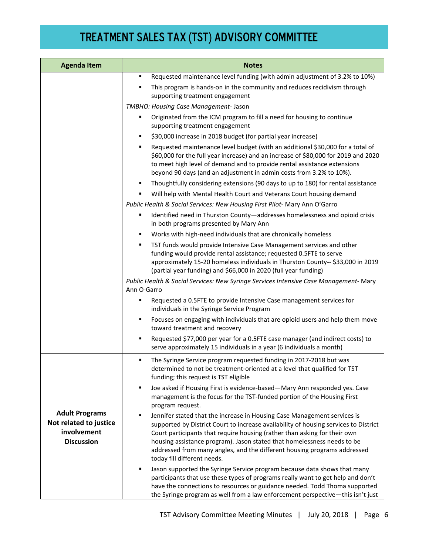| <b>Agenda Item</b>                                                                  | <b>Notes</b>                                                                                                                                                                                                                                                                                                                                                                                                                             |  |
|-------------------------------------------------------------------------------------|------------------------------------------------------------------------------------------------------------------------------------------------------------------------------------------------------------------------------------------------------------------------------------------------------------------------------------------------------------------------------------------------------------------------------------------|--|
|                                                                                     | Requested maintenance level funding (with admin adjustment of 3.2% to 10%)<br>٠                                                                                                                                                                                                                                                                                                                                                          |  |
|                                                                                     | This program is hands-on in the community and reduces recidivism through<br>supporting treatment engagement                                                                                                                                                                                                                                                                                                                              |  |
|                                                                                     | TMBHO: Housing Case Management- Jason                                                                                                                                                                                                                                                                                                                                                                                                    |  |
|                                                                                     | Originated from the ICM program to fill a need for housing to continue<br>supporting treatment engagement                                                                                                                                                                                                                                                                                                                                |  |
|                                                                                     | \$30,000 increase in 2018 budget (for partial year increase)<br>٠                                                                                                                                                                                                                                                                                                                                                                        |  |
|                                                                                     | Requested maintenance level budget (with an additional \$30,000 for a total of<br>٠<br>\$60,000 for the full year increase) and an increase of \$80,000 for 2019 and 2020<br>to meet high level of demand and to provide rental assistance extensions<br>beyond 90 days (and an adjustment in admin costs from 3.2% to 10%).                                                                                                             |  |
|                                                                                     | Thoughtfully considering extensions (90 days to up to 180) for rental assistance                                                                                                                                                                                                                                                                                                                                                         |  |
|                                                                                     | Will help with Mental Health Court and Veterans Court housing demand                                                                                                                                                                                                                                                                                                                                                                     |  |
|                                                                                     | Public Health & Social Services: New Housing First Pilot- Mary Ann O'Garro                                                                                                                                                                                                                                                                                                                                                               |  |
|                                                                                     | Identified need in Thurston County-addresses homelessness and opioid crisis<br>٠<br>in both programs presented by Mary Ann                                                                                                                                                                                                                                                                                                               |  |
|                                                                                     | Works with high-need individuals that are chronically homeless<br>٠                                                                                                                                                                                                                                                                                                                                                                      |  |
|                                                                                     | TST funds would provide Intensive Case Management services and other<br>٠<br>funding would provide rental assistance; requested 0.5FTE to serve<br>approximately 15-20 homeless individuals in Thurston County-- \$33,000 in 2019<br>(partial year funding) and \$66,000 in 2020 (full year funding)                                                                                                                                     |  |
|                                                                                     | Public Health & Social Services: New Syringe Services Intensive Case Management- Mary<br>Ann O-Garro                                                                                                                                                                                                                                                                                                                                     |  |
|                                                                                     | Requested a 0.5FTE to provide Intensive Case management services for<br>Е<br>individuals in the Syringe Service Program                                                                                                                                                                                                                                                                                                                  |  |
|                                                                                     | Focuses on engaging with individuals that are opioid users and help them move<br>٠<br>toward treatment and recovery                                                                                                                                                                                                                                                                                                                      |  |
|                                                                                     | Requested \$77,000 per year for a 0.5FTE case manager (and indirect costs) to<br>serve approximately 15 individuals in a year (6 individuals a month)                                                                                                                                                                                                                                                                                    |  |
|                                                                                     | The Syringe Service program requested funding in 2017-2018 but was<br>٠<br>determined to not be treatment-oriented at a level that qualified for TST<br>funding; this request is TST eligible                                                                                                                                                                                                                                            |  |
|                                                                                     | Joe asked if Housing First is evidence-based-Mary Ann responded yes. Case<br>٠<br>management is the focus for the TST-funded portion of the Housing First<br>program request.                                                                                                                                                                                                                                                            |  |
| <b>Adult Programs</b><br>Not related to justice<br>involvement<br><b>Discussion</b> | Jennifer stated that the increase in Housing Case Management services is<br>٠<br>supported by District Court to increase availability of housing services to District<br>Court participants that require housing (rather than asking for their own<br>housing assistance program). Jason stated that homelessness needs to be<br>addressed from many angles, and the different housing programs addressed<br>today fill different needs. |  |
|                                                                                     | Jason supported the Syringe Service program because data shows that many<br>٠<br>participants that use these types of programs really want to get help and don't<br>have the connections to resources or guidance needed. Todd Thoma supported<br>the Syringe program as well from a law enforcement perspective-this isn't just                                                                                                         |  |